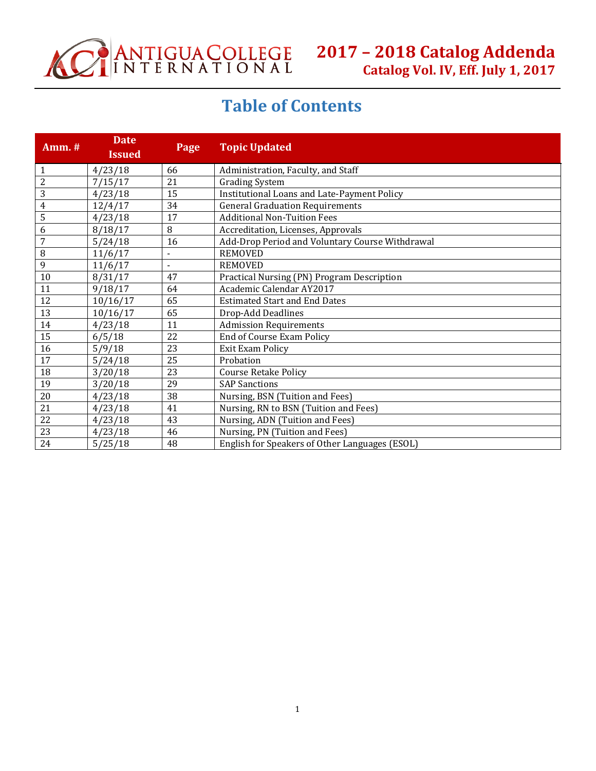

# **Table of Contents**

| <b>Amm.</b> #  | <b>Date</b><br><b>Issued</b> | Page                     | <b>Topic Updated</b>                            |
|----------------|------------------------------|--------------------------|-------------------------------------------------|
| 1              | 4/23/18                      | 66                       | Administration, Faculty, and Staff              |
| $\overline{2}$ | 7/15/17                      | 21                       | <b>Grading System</b>                           |
| 3              | 4/23/18                      | 15                       | Institutional Loans and Late-Payment Policy     |
| $\overline{4}$ | 12/4/17                      | 34                       | <b>General Graduation Requirements</b>          |
| 5              | 4/23/18                      | 17                       | <b>Additional Non-Tuition Fees</b>              |
| 6              | 8/18/17                      | 8                        | Accreditation, Licenses, Approvals              |
| 7              | 5/24/18                      | 16                       | Add-Drop Period and Voluntary Course Withdrawal |
| 8              | 11/6/17                      | $\overline{\phantom{a}}$ | <b>REMOVED</b>                                  |
| 9              | 11/6/17                      |                          | <b>REMOVED</b>                                  |
| $10\,$         | 8/31/17                      | 47                       | Practical Nursing (PN) Program Description      |
| 11             | 9/18/17                      | 64                       | Academic Calendar AY2017                        |
| 12             | 10/16/17                     | 65                       | <b>Estimated Start and End Dates</b>            |
| 13             | 10/16/17                     | 65                       | Drop-Add Deadlines                              |
| 14             | 4/23/18                      | 11                       | <b>Admission Requirements</b>                   |
| 15             | 6/5/18                       | 22                       | <b>End of Course Exam Policy</b>                |
| 16             | 5/9/18                       | 23                       | <b>Exit Exam Policy</b>                         |
| 17             | 5/24/18                      | 25                       | Probation                                       |
| 18             | 3/20/18                      | 23                       | <b>Course Retake Policy</b>                     |
| 19             | 3/20/18                      | 29                       | <b>SAP Sanctions</b>                            |
| 20             | 4/23/18                      | 38                       | Nursing, BSN (Tuition and Fees)                 |
| 21             | 4/23/18                      | 41                       | Nursing, RN to BSN (Tuition and Fees)           |
| 22             | 4/23/18                      | 43                       | Nursing, ADN (Tuition and Fees)                 |
| 23             | 4/23/18                      | 46                       | Nursing, PN (Tuition and Fees)                  |
| 24             | 5/25/18                      | 48                       | English for Speakers of Other Languages (ESOL)  |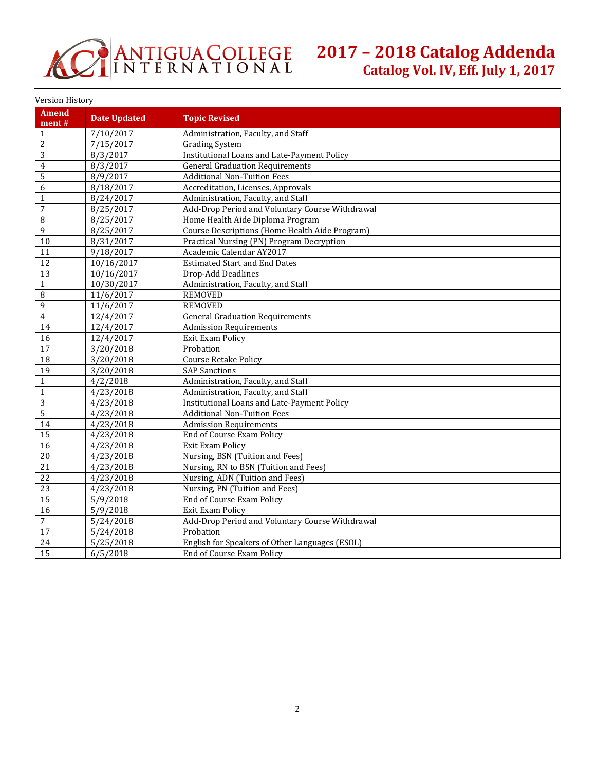

Version History

| <b>Amend</b><br>ment# | <b>Date Updated</b>  | <b>Topic Revised</b>                               |
|-----------------------|----------------------|----------------------------------------------------|
| $\mathbf{1}$          | 7/10/2017            | Administration, Faculty, and Staff                 |
| $\overline{2}$        | 7/15/2017            | <b>Grading System</b>                              |
| 3                     | 8/3/2017             | <b>Institutional Loans and Late-Payment Policy</b> |
| $\overline{4}$        | 8/3/2017             | <b>General Graduation Requirements</b>             |
| 5                     | 8/9/2017             | <b>Additional Non-Tuition Fees</b>                 |
| 6                     | 8/18/2017            | Accreditation, Licenses, Approvals                 |
| $\mathbf{1}$          | 8/24/2017            | Administration, Faculty, and Staff                 |
| 7                     | 8/25/2017            | Add-Drop Period and Voluntary Course Withdrawal    |
| 8                     | 8/25/2017            | Home Health Aide Diploma Program                   |
| 9                     | 8/25/2017            | Course Descriptions (Home Health Aide Program)     |
| 10                    | 8/31/2017            | Practical Nursing (PN) Program Decryption          |
| 11                    | $\frac{9}{18}$ /2017 | Academic Calendar AY2017                           |
| $\overline{12}$       | 10/16/2017           | <b>Estimated Start and End Dates</b>               |
| 13                    | 10/16/2017           | Drop-Add Deadlines                                 |
| $\mathbf{1}$          | 10/30/2017           | Administration, Faculty, and Staff                 |
| 8                     | 11/6/2017            | <b>REMOVED</b>                                     |
| 9                     | 11/6/2017            | <b>REMOVED</b>                                     |
| $\overline{4}$        | 12/4/2017            | <b>General Graduation Requirements</b>             |
| 14                    | 12/4/2017            | <b>Admission Requirements</b>                      |
| 16                    | 12/4/2017            | <b>Exit Exam Policy</b>                            |
| 17                    | 3/20/2018            | Probation                                          |
| $\overline{18}$       | 3/20/2018            | <b>Course Retake Policy</b>                        |
| $\overline{19}$       | 3/20/2018            | <b>SAP Sanctions</b>                               |
| $\mathbf{1}$          | 4/2/2018             | Administration, Faculty, and Staff                 |
| $\mathbf{1}$          | 4/23/2018            | Administration, Faculty, and Staff                 |
| 3                     | 4/23/2018            | Institutional Loans and Late-Payment Policy        |
| 5                     | 4/23/2018            | <b>Additional Non-Tuition Fees</b>                 |
| 14                    | 4/23/2018            | <b>Admission Requirements</b>                      |
| 15                    | 4/23/2018            | <b>End of Course Exam Policy</b>                   |
| $\overline{16}$       | 4/23/2018            | <b>Exit Exam Policy</b>                            |
| $\overline{20}$       | 4/23/2018            | Nursing, BSN (Tuition and Fees)                    |
| 21                    | 4/23/2018            | Nursing, RN to BSN (Tuition and Fees)              |
| $\overline{22}$       | 4/23/2018            | Nursing, ADN (Tuition and Fees)                    |
| $\overline{23}$       | 4/23/2018            | Nursing, PN (Tuition and Fees)                     |
| 15                    | 5/9/2018             | End of Course Exam Policy                          |
| $\overline{16}$       | 5/9/2018             | Exit Exam Policy                                   |
| $\overline{7}$        | 5/24/2018            | Add-Drop Period and Voluntary Course Withdrawal    |
| 17                    | 5/24/2018            | Probation                                          |
| 24                    | 5/25/2018            | English for Speakers of Other Languages (ESOL)     |
| 15                    | 6/5/2018             | End of Course Exam Policy                          |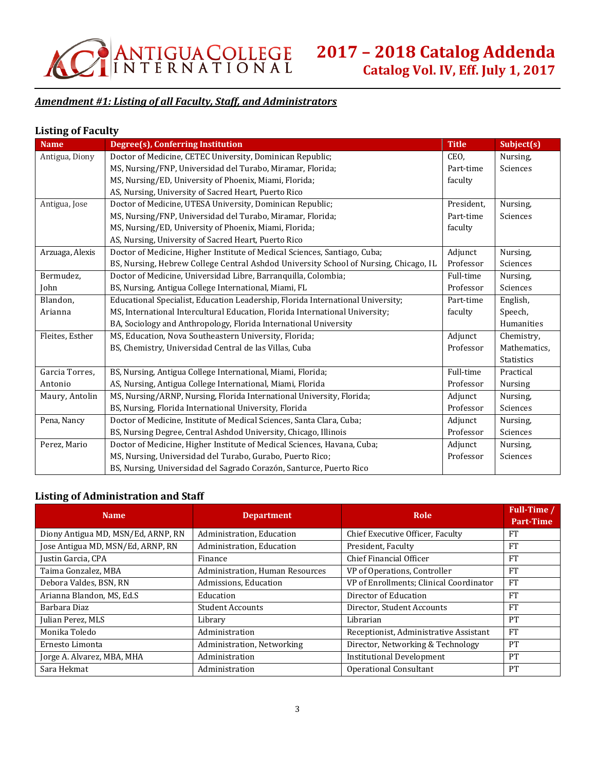

# *Amendment #1: Listing of all Faculty, Staff, and Administrators*

# **Listing of Faculty**

| <b>Name</b>     | Degree(s), Conferring Institution                                                    | <b>Title</b> | Subject(s)        |
|-----------------|--------------------------------------------------------------------------------------|--------------|-------------------|
| Antigua, Diony  | Doctor of Medicine, CETEC University, Dominican Republic;                            | CEO,         | Nursing,          |
|                 | MS, Nursing/FNP, Universidad del Turabo, Miramar, Florida;                           | Part-time    | Sciences          |
|                 | MS, Nursing/ED, University of Phoenix, Miami, Florida;                               | faculty      |                   |
|                 | AS, Nursing, University of Sacred Heart, Puerto Rico                                 |              |                   |
| Antigua, Jose   | Doctor of Medicine, UTESA University, Dominican Republic;                            | President,   | Nursing,          |
|                 | MS, Nursing/FNP, Universidad del Turabo, Miramar, Florida;                           | Part-time    | Sciences          |
|                 | MS, Nursing/ED, University of Phoenix, Miami, Florida;                               | faculty      |                   |
|                 | AS, Nursing, University of Sacred Heart, Puerto Rico                                 |              |                   |
| Arzuaga, Alexis | Doctor of Medicine, Higher Institute of Medical Sciences, Santiago, Cuba;            | Adjunct      | Nursing,          |
|                 | BS, Nursing, Hebrew College Central Ashdod University School of Nursing, Chicago, IL | Professor    | Sciences          |
| Bermudez,       | Doctor of Medicine, Universidad Libre, Barranquilla, Colombia;                       | Full-time    | Nursing,          |
| John            | BS, Nursing, Antigua College International, Miami, FL                                | Professor    | Sciences          |
| Blandon,        | Educational Specialist, Education Leadership, Florida International University;      | Part-time    | English,          |
| Arianna         | MS, International Intercultural Education, Florida International University;         | faculty      | Speech,           |
|                 | BA, Sociology and Anthropology, Florida International University                     |              | Humanities        |
| Fleites, Esther | MS, Education, Nova Southeastern University, Florida;                                | Adjunct      | Chemistry,        |
|                 | BS, Chemistry, Universidad Central de las Villas, Cuba                               | Professor    | Mathematics,      |
|                 |                                                                                      |              | <b>Statistics</b> |
| Garcia Torres,  | BS, Nursing, Antigua College International, Miami, Florida;                          | Full-time    | Practical         |
| Antonio         | AS, Nursing, Antigua College International, Miami, Florida                           | Professor    | <b>Nursing</b>    |
| Maury, Antolin  | MS, Nursing/ARNP, Nursing, Florida International University, Florida;                | Adjunct      | Nursing,          |
|                 | BS, Nursing, Florida International University, Florida                               | Professor    | Sciences          |
| Pena, Nancy     | Doctor of Medicine, Institute of Medical Sciences, Santa Clara, Cuba;                | Adjunct      | Nursing,          |
|                 | BS, Nursing Degree, Central Ashdod University, Chicago, Illinois                     | Professor    | Sciences          |
| Perez, Mario    | Doctor of Medicine, Higher Institute of Medical Sciences, Havana, Cuba;              | Adjunct      | Nursing,          |
|                 | MS, Nursing, Universidad del Turabo, Gurabo, Puerto Rico;                            | Professor    | Sciences          |
|                 | BS, Nursing, Universidad del Sagrado Corazón, Santurce, Puerto Rico                  |              |                   |

# **Listing of Administration and Staff**

| <b>Name</b>                        | <b>Department</b>               | Role                                    | Full-Time /<br><b>Part-Time</b> |
|------------------------------------|---------------------------------|-----------------------------------------|---------------------------------|
| Diony Antigua MD, MSN/Ed, ARNP, RN | Administration, Education       | Chief Executive Officer, Faculty        | <b>FT</b>                       |
| Jose Antigua MD, MSN/Ed, ARNP, RN  | Administration, Education       | President, Faculty                      | <b>FT</b>                       |
| Justin Garcia, CPA                 | Finance                         | Chief Financial Officer                 | <b>FT</b>                       |
| Taima Gonzalez, MBA                | Administration, Human Resources | VP of Operations, Controller            | <b>FT</b>                       |
| Debora Valdes, BSN, RN             | Admissions, Education           | VP of Enrollments; Clinical Coordinator | <b>FT</b>                       |
| Arianna Blandon, MS, Ed.S          | Education                       | Director of Education                   | <b>FT</b>                       |
| Barbara Diaz                       | <b>Student Accounts</b>         | Director, Student Accounts              | <b>FT</b>                       |
| Julian Perez, MLS                  | Library                         | Librarian                               | PT                              |
| Monika Toledo                      | Administration                  | Receptionist, Administrative Assistant  | <b>FT</b>                       |
| Ernesto Limonta                    | Administration, Networking      | Director, Networking & Technology       | PT                              |
| Jorge A. Alvarez, MBA, MHA         | Administration                  | <b>Institutional Development</b>        | PT                              |
| Sara Hekmat                        | Administration                  | Operational Consultant                  | PT                              |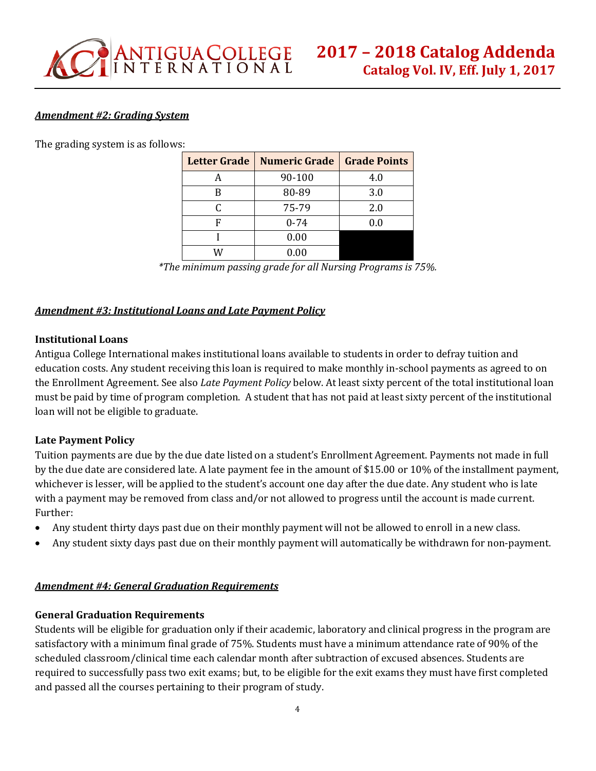# *Amendment #2: Grading System*

The grading system is as follows:

| <b>Letter Grade</b> | <b>Numeric Grade</b> | <b>Grade Points</b> |
|---------------------|----------------------|---------------------|
| A                   | 90-100               | 4.0                 |
| В                   | 80-89                | 3.0                 |
| C                   | 75-79                | 2.0                 |
| F                   | $0 - 74$             | 0.0                 |
|                     | 0.00                 |                     |
|                     | 0.00                 |                     |

*\*The minimum passing grade for all Nursing Programs is 75%.*

# *Amendment #3: Institutional Loans and Late Payment Policy*

#### **Institutional Loans**

Antigua College International makes institutional loans available to students in order to defray tuition and education costs. Any student receiving this loan is required to make monthly in-school payments as agreed to on the Enrollment Agreement. See also *Late Payment Policy* below. At least sixty percent of the total institutional loan must be paid by time of program completion. A student that has not paid at least sixty percent of the institutional loan will not be eligible to graduate.

# **Late Payment Policy**

Tuition payments are due by the due date listed on a student's Enrollment Agreement. Payments not made in full by the due date are considered late. A late payment fee in the amount of \$15.00 or 10% of the installment payment, whichever is lesser, will be applied to the student's account one day after the due date. Any student who is late with a payment may be removed from class and/or not allowed to progress until the account is made current. Further:

- Any student thirty days past due on their monthly payment will not be allowed to enroll in a new class.
- Any student sixty days past due on their monthly payment will automatically be withdrawn for non-payment.

# *Amendment #4: General Graduation Requirements*

# **General Graduation Requirements**

Students will be eligible for graduation only if their academic, laboratory and clinical progress in the program are satisfactory with a minimum final grade of 75%. Students must have a minimum attendance rate of 90% of the scheduled classroom/clinical time each calendar month after subtraction of excused absences. Students are required to successfully pass two exit exams; but, to be eligible for the exit exams they must have first completed and passed all the courses pertaining to their program of study.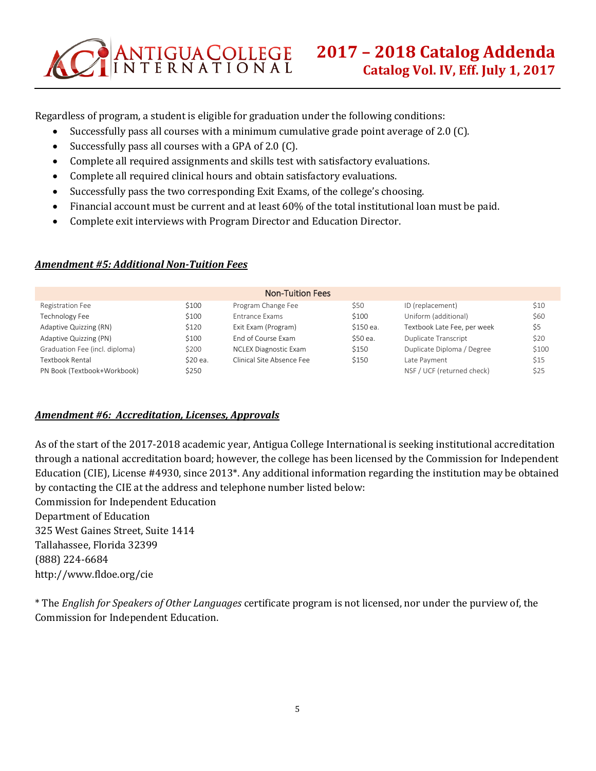Regardless of program, a student is eligible for graduation under the following conditions:

- Successfully pass all courses with a minimum cumulative grade point average of 2.0 (C).
- Successfully pass all courses with a GPA of 2.0 (C).

ANTIGUA COLLEGE

- Complete all required assignments and skills test with satisfactory evaluations.
- Complete all required clinical hours and obtain satisfactory evaluations.
- Successfully pass the two corresponding Exit Exams, of the college's choosing.
- Financial account must be current and at least 60% of the total institutional loan must be paid.
- Complete exit interviews with Program Director and Education Director.

#### *Amendment #5: Additional Non-Tuition Fees*

|                                |          | <b>Non-Tuition Fees</b>      |           |                             |       |
|--------------------------------|----------|------------------------------|-----------|-----------------------------|-------|
| Registration Fee               | \$100    | Program Change Fee           | \$50      | ID (replacement)            | \$10  |
| Technology Fee                 | \$100    | <b>Entrance Exams</b>        | \$100     | Uniform (additional)        | \$60  |
| Adaptive Quizzing (RN)         | \$120    | Exit Exam (Program)          | \$150 ea. | Textbook Late Fee, per week | \$5   |
| Adaptive Quizzing (PN)         | \$100    | <b>Fnd of Course Exam</b>    | \$50 ea.  | Duplicate Transcript        | \$20  |
| Graduation Fee (incl. diploma) | \$200    | <b>NCLEX Diagnostic Exam</b> | \$150     | Duplicate Diploma / Degree  | \$100 |
| Textbook Rental                | \$20 ea. | Clinical Site Absence Fee    | \$150     | Late Pavment                | \$15  |
| PN Book (Textbook+Workbook)    | \$250    |                              |           | NSF / UCF (returned check)  | \$25  |

# *Amendment #6: Accreditation, Licenses, Approvals*

As of the start of the 2017-2018 academic year, Antigua College International is seeking institutional accreditation through a national accreditation board; however, the college has been licensed by the Commission for Independent Education (CIE), License #4930, since 2013\*. Any additional information regarding the institution may be obtained by contacting the CIE at the address and telephone number listed below: Commission for Independent Education

Department of Education

325 West Gaines Street, Suite 1414 Tallahassee, Florida 32399 (888) 224-6684 http://www.fldoe.org/cie

\* The *English for Speakers of Other Languages* certificate program is not licensed, nor under the purview of, the Commission for Independent Education.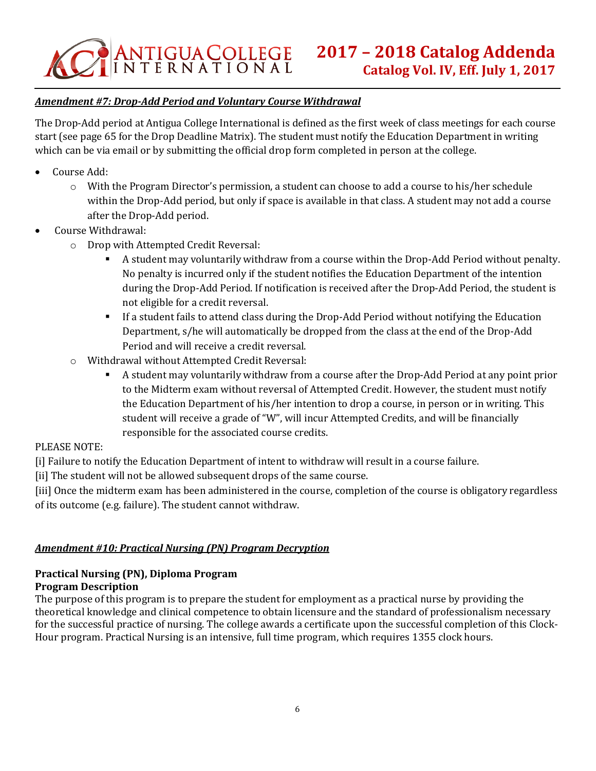# *Amendment #7: Drop-Add Period and Voluntary Course Withdrawal*

The Drop-Add period at Antigua College International is defined as the first week of class meetings for each course start (see page 65 for the Drop Deadline Matrix). The student must notify the Education Department in writing which can be via email or by submitting the official drop form completed in person at the college.

- Course Add:
	- o With the Program Director's permission, a student can choose to add a course to his/her schedule within the Drop-Add period, but only if space is available in that class. A student may not add a course after the Drop-Add period.
- Course Withdrawal:
	- o Drop with Attempted Credit Reversal:
		- A student may voluntarily withdraw from a course within the Drop-Add Period without penalty. No penalty is incurred only if the student notifies the Education Department of the intention during the Drop-Add Period. If notification is received after the Drop-Add Period, the student is not eligible for a credit reversal.
		- **•** If a student fails to attend class during the Drop-Add Period without notifying the Education Department, s/he will automatically be dropped from the class at the end of the Drop-Add Period and will receive a credit reversal.
	- o Withdrawal without Attempted Credit Reversal:
		- A student may voluntarily withdraw from a course after the Drop-Add Period at any point prior to the Midterm exam without reversal of Attempted Credit. However, the student must notify the Education Department of his/her intention to drop a course, in person or in writing. This student will receive a grade of "W", will incur Attempted Credits, and will be financially responsible for the associated course credits.

# PLEASE NOTE:

[i] Failure to notify the Education Department of intent to withdraw will result in a course failure.

[ii] The student will not be allowed subsequent drops of the same course.

[iii] Once the midterm exam has been administered in the course, completion of the course is obligatory regardless of its outcome (e.g. failure). The student cannot withdraw.

# *Amendment #10: Practical Nursing (PN) Program Decryption*

#### **Practical Nursing (PN), Diploma Program Program Description**

The purpose of this program is to prepare the student for employment as a practical nurse by providing the theoretical knowledge and clinical competence to obtain licensure and the standard of professionalism necessary for the successful practice of nursing. The college awards a certificate upon the successful completion of this Clock-Hour program. Practical Nursing is an intensive, full time program, which requires 1355 clock hours.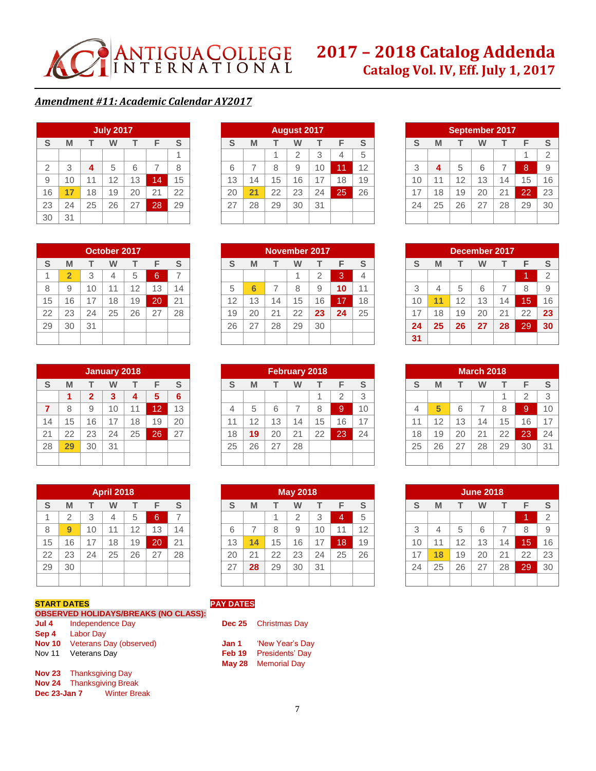

# **2017 – 2018 Catalog Addenda Catalog Vol. IV, Eff. July 1, 2017**

#### *Amendment #11: Academic Calendar AY2017*

| <b>July 2017</b> |    |    |    |    |                |    |  |  |
|------------------|----|----|----|----|----------------|----|--|--|
| S                | M  |    | W  | т  | F              | S  |  |  |
|                  |    |    |    |    |                |    |  |  |
| $\overline{2}$   | 3  | 4  | 5  | 6  | $\overline{7}$ | 8  |  |  |
| 9                | 10 | 11 | 12 | 13 | 14             | 15 |  |  |
| 16               | 17 | 18 | 19 | 20 | 21             | 22 |  |  |
| 23               | 24 | 25 | 26 | 27 | 28             | 29 |  |  |
| 30               | 31 |    |    |    |                |    |  |  |

|    | <b>August 2017</b> |    |    |    |    |    |  |  |
|----|--------------------|----|----|----|----|----|--|--|
| S  | M                  |    | W  | т  | F  | S  |  |  |
|    |                    |    | 2  | 3  | 4  | 5  |  |  |
| 6  |                    | 8  | 9  | 10 | 11 | 12 |  |  |
| 13 | 14                 | 15 | 16 | 17 | 18 | 19 |  |  |
| 20 | 21                 | 22 | 23 | 24 | 25 | 26 |  |  |
| 27 | 28                 | 29 | 30 | 31 |    |    |  |  |
|    |                    |    |    |    |    |    |  |  |

| <b>September 2017</b> |    |    |    |                |    |                |  |  |
|-----------------------|----|----|----|----------------|----|----------------|--|--|
| S                     | M  |    | w  | т              | F  | S              |  |  |
|                       |    |    |    |                | 1  | $\overline{2}$ |  |  |
| 3                     | 4  | 5  | 6  | $\overline{7}$ | 8  | 9              |  |  |
| 10                    | 11 | 12 | 13 | 14             | 15 | 16             |  |  |
| 17                    | 18 | 19 | 20 | 21             | 22 | 23             |  |  |
| 24                    | 25 | 26 | 27 | 28             | 29 | 30             |  |  |
|                       |    |    |    |                |    |                |  |  |

**December 2017 S M T W T F S**

3 4 5 6 7 8 9 **11** 12 13 14 15 16 18 19 20 21 22 **23 25 26 27 28** 29 **30**

**March 2018 S M T W T F S**

4 **5** 6 7 8 9 10 11 | 12 | 13 | 14 | 15 | 16 | 17 18 | 19 | 20 | 21 | 22 **| 23 |** 24 25 26 27 28 29 30 31

**June 2018 S M T W T F S**

3 4 5 6 7 8 9

1 2

 $1 \mid 2 \mid 3$ 

1 2

| October 2017    |                |    |    |    |    |    |  |  |  |
|-----------------|----------------|----|----|----|----|----|--|--|--|
| S               | M              |    | W  | т  | F  | S  |  |  |  |
| 1               | $\overline{2}$ | 3  | 4  | 5  | 6  |    |  |  |  |
| 8               | 9              | 10 | 11 | 12 | 13 | 14 |  |  |  |
| 15              | 16             | 17 | 18 | 19 | 20 | 21 |  |  |  |
| 22              | 23             | 24 | 25 | 26 | 27 | 28 |  |  |  |
| $\overline{29}$ | 30             | 31 |    |    |    |    |  |  |  |
|                 |                |    |    |    |    |    |  |  |  |

| <b>January 2018</b> |    |              |    |    |    |    |  |
|---------------------|----|--------------|----|----|----|----|--|
| S                   | M  |              | W  | т  | F  | S  |  |
|                     | 1  | $\mathbf{2}$ | 3  | 4  | 5  | 6  |  |
| 7                   | 8  | 9            | 10 | 11 | 12 | 13 |  |
| 14                  | 15 | 16           | 17 | 18 | 19 | 20 |  |
| 21                  | 22 | 23           | 24 | 25 | 26 | 27 |  |
| 28                  | 29 | 30           | 31 |    |    |    |  |
|                     |    |              |    |    |    |    |  |

|    |                |    | <b>April 2018</b> |    |    |                |
|----|----------------|----|-------------------|----|----|----------------|
| S  | M              | т  | W                 | т  | F  | S              |
|    | $\overline{2}$ | 3  | 4                 | 5  | 6  | $\overline{7}$ |
| 8  | 9              | 10 | 11                | 12 | 13 | 14             |
| 15 | 16             | 17 | 18                | 19 | 20 | 21             |
| 22 | 23             | 24 | 25                | 26 | 27 | 28             |
| 29 | 30             |    |                   |    |    |                |

| <b>START DATES</b> |                                             |  |  |  |
|--------------------|---------------------------------------------|--|--|--|
|                    | <b>OBSERVED HOLIDAYS/BREAKS (NO CLASS):</b> |  |  |  |
| Jul 4              | <b>Independence Day</b>                     |  |  |  |
| Sep 4              | <b>Labor Day</b>                            |  |  |  |
| <b>Nov 10</b>      | Veterans Day (observed)                     |  |  |  |
| <b>Nov 11</b>      | Veterans Day                                |  |  |  |

**Nov 24** Thanksgiving Break

**Dec 23-Jan 7** Winter Break

| November 2017 |    |    |    |                |    |    |  |  |
|---------------|----|----|----|----------------|----|----|--|--|
| S             | M  |    | w  |                | F  | S  |  |  |
|               |    |    |    | $\overline{2}$ | 3  | 4  |  |  |
| 5             | 6  |    | 8  | 9              | 10 | 11 |  |  |
| 12            | 13 | 14 | 15 | 16             | 17 | 18 |  |  |
| 19            | 20 | 21 | 22 | 23             | 24 | 25 |  |  |
| 26            | 27 | 28 | 29 | 30             |    |    |  |  |
|               |    |    |    |                |    |    |  |  |

| <b>February 2018</b> |    |    |    |    |                |    |  |  |
|----------------------|----|----|----|----|----------------|----|--|--|
| S                    | M  |    | w  |    | F              | S  |  |  |
|                      |    |    |    |    | $\overline{2}$ | 3  |  |  |
| 4                    | 5  | 6  | 7  | 8  | 9              | 10 |  |  |
| 11                   | 12 | 13 | 14 | 15 | 16             | 17 |  |  |
| 18                   | 19 | 20 | 21 | 22 | 23             | 24 |  |  |
| 25                   | 26 | 27 | 28 |    |                |    |  |  |
|                      |    |    |    |    |                |    |  |  |

| <b>May 2018</b> |    |    |                |    |    |    |  |  |
|-----------------|----|----|----------------|----|----|----|--|--|
| S               | M  |    | w              | т  | F  | S  |  |  |
|                 |    | 1  | $\overline{2}$ | 3  | 4  | 5  |  |  |
| 6               | 7  | 8  | 9              | 10 | 11 | 12 |  |  |
| 13              | 14 | 15 | 16             | 17 | 18 | 19 |  |  |
| 20              | 21 | 22 | 23             | 24 | 25 | 26 |  |  |
| 27              | 28 | 29 | 30             | 31 |    |    |  |  |
|                 |    |    |                |    |    |    |  |  |

# **START DATES PAY DATES**

| Dec 25 | <b>Christmas Day</b> |
|--------|----------------------|
| Jan 1  | 'New Year's Dav      |

| .      | $110W + 1000 = 100V$ |
|--------|----------------------|
| Feb 19 | Presidents' Day      |
| May 28 | <b>Memorial Day</b>  |

| 10 | 11 |                      | $12$   13   14                       | $-15$ | 16 |
|----|----|----------------------|--------------------------------------|-------|----|
| 17 | 18 |                      | $19 \mid 20 \mid 21 \mid 22 \mid 23$ |       |    |
| 24 |    | $25 \mid 26 \mid 27$ |                                      | 28 29 | 30 |
|    |    |                      |                                      |       |    |
|    |    |                      |                                      |       |    |

**31**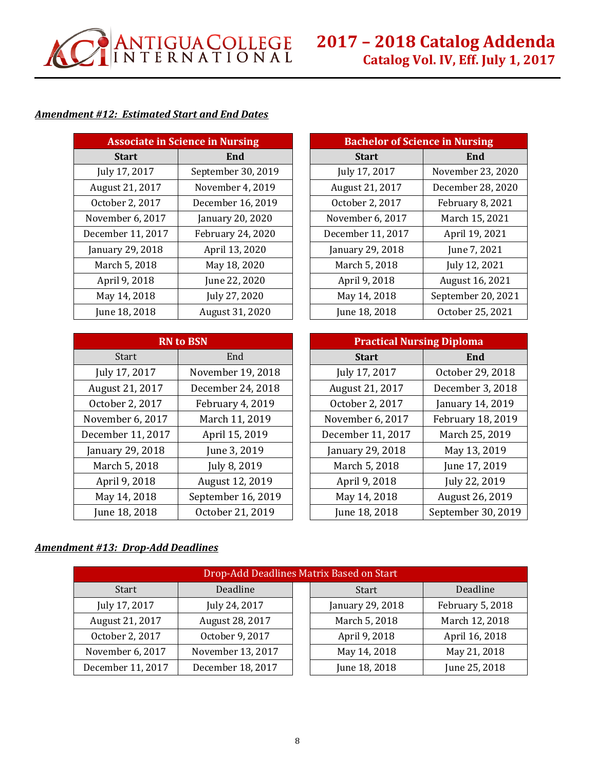

# *Amendment #12: Estimated Start and End Dates*

| <b>Associate in Science in Nursing</b> |                    |  | <b>Bachelor of Science in Nursing</b> |                   |
|----------------------------------------|--------------------|--|---------------------------------------|-------------------|
| <b>Start</b>                           | End                |  | <b>Start</b>                          | End               |
| July 17, 2017                          | September 30, 2019 |  | July 17, 2017                         | November 23, 202  |
| August 21, 2017                        | November 4, 2019   |  | August 21, 2017                       | December 28, 202  |
| October 2, 2017                        | December 16, 2019  |  | October 2, 2017                       | February 8, 2021  |
| November 6, 2017                       | January 20, 2020   |  | November 6, 2017                      | March 15, 2021    |
| December 11, 2017                      | February 24, 2020  |  | December 11, 2017                     | April 19, 2021    |
| January 29, 2018                       | April 13, 2020     |  | January 29, 2018                      | June 7, 2021      |
| March 5, 2018                          | May 18, 2020       |  | March 5, 2018                         | July 12, 2021     |
| April 9, 2018                          | June 22, 2020      |  | April 9, 2018                         | August 16, 2021   |
| May 14, 2018                           | July 27, 2020      |  | May 14, 2018                          | September 20, 20. |
| June 18, 2018                          | August 31, 2020    |  | June 18, 2018                         | October 25, 2021  |

| <b>Associate in Science in Nursing</b> |                    |  | <b>Bachelor of Science in Nursing</b> |                    |
|----------------------------------------|--------------------|--|---------------------------------------|--------------------|
| <b>Start</b>                           | End                |  | <b>Start</b>                          | End                |
| July 17, 2017                          | September 30, 2019 |  | July 17, 2017                         | November 23, 2020  |
| August 21, 2017                        | November 4, 2019   |  | August 21, 2017                       | December 28, 2020  |
| October 2, 2017                        | December 16, 2019  |  | October 2, 2017                       | February 8, 2021   |
| lovember 6, 2017                       | January 20, 2020   |  | November 6, 2017                      | March 15, 2021     |
| ecember 11, 2017                       | February 24, 2020  |  | December 11, 2017                     | April 19, 2021     |
| anuary 29, 2018                        | April 13, 2020     |  | January 29, 2018                      | June 7, 2021       |
| March 5, 2018                          | May 18, 2020       |  | March 5, 2018                         | July 12, 2021      |
| April 9, 2018                          | June 22, 2020      |  | April 9, 2018                         | August 16, 2021    |
| May 14, 2018                           | July 27, 2020      |  | May 14, 2018                          | September 20, 2021 |
| June 18, 2018                          | August 31, 2020    |  | June 18, 2018                         | October 25, 2021   |

| <b>RN</b> to BSN  |                    |  | <b>Practical Nursing Diploma</b> |                   |
|-------------------|--------------------|--|----------------------------------|-------------------|
| <b>Start</b>      | End                |  | <b>Start</b>                     | End               |
| July 17, 2017     | November 19, 2018  |  | July 17, 2017                    | October 29, 2018  |
| August 21, 2017   | December 24, 2018  |  | August 21, 2017                  | December 3, 2018  |
| October 2, 2017   | February 4, 2019   |  | October 2, 2017                  | January 14, 2019  |
| November 6, 2017  | March 11, 2019     |  | November 6, 2017                 | February 18, 2019 |
| December 11, 2017 | April 15, 2019     |  | December 11, 2017                | March 25, 2019    |
| January 29, 2018  | June 3, 2019       |  | January 29, 2018                 | May 13, 2019      |
| March 5, 2018     | July 8, 2019       |  | March 5, 2018                    | June 17, 2019     |
| April 9, 2018     | August 12, 2019    |  | April 9, 2018                    | July 22, 2019     |
| May 14, 2018      | September 16, 2019 |  | May 14, 2018                     | August 26, 2019   |
| June 18, 2018     | October 21, 2019   |  | June 18, 2018                    | September 30, 201 |

| <b>RN</b> to BSN |                    |  | <b>Practical Nursing Diploma</b> |                    |
|------------------|--------------------|--|----------------------------------|--------------------|
| <b>Start</b>     | End                |  | <b>Start</b>                     | End                |
| July 17, 2017    | November 19, 2018  |  | July 17, 2017                    | October 29, 2018   |
| August 21, 2017  | December 24, 2018  |  | August 21, 2017                  | December 3, 2018   |
| October 2, 2017  | February 4, 2019   |  | October 2, 2017                  | January 14, 2019   |
| lovember 6, 2017 | March 11, 2019     |  | November 6, 2017                 | February 18, 2019  |
| ecember 11, 2017 | April 15, 2019     |  | December 11, 2017                | March 25, 2019     |
| anuary 29, 2018  | June 3, 2019       |  | January 29, 2018                 | May 13, 2019       |
| March 5, 2018    | July 8, 2019       |  | March 5, 2018                    | June 17, 2019      |
| April 9, 2018    | August 12, 2019    |  | April 9, 2018                    | July 22, 2019      |
| May 14, 2018     | September 16, 2019 |  | May 14, 2018                     | August 26, 2019    |
| June 18, 2018    | October 21, 2019   |  | June 18, 2018                    | September 30, 2019 |

# *Amendment #13: Drop-Add Deadlines*

| Drop-Add Deadlines Matrix Based on Start |                   |  |                  |                  |  |
|------------------------------------------|-------------------|--|------------------|------------------|--|
| <b>Start</b>                             | Deadline          |  | <b>Start</b>     | Deadline         |  |
| July 17, 2017                            | July 24, 2017     |  | January 29, 2018 | February 5, 2018 |  |
| August 21, 2017                          | August 28, 2017   |  | March 5, 2018    | March 12, 2018   |  |
| October 2, 2017                          | October 9, 2017   |  | April 9, 2018    | April 16, 2018   |  |
| November 6, 2017                         | November 13, 2017 |  | May 14, 2018     | May 21, 2018     |  |
| December 11, 2017                        | December 18, 2017 |  | June 18, 2018    | June 25, 2018    |  |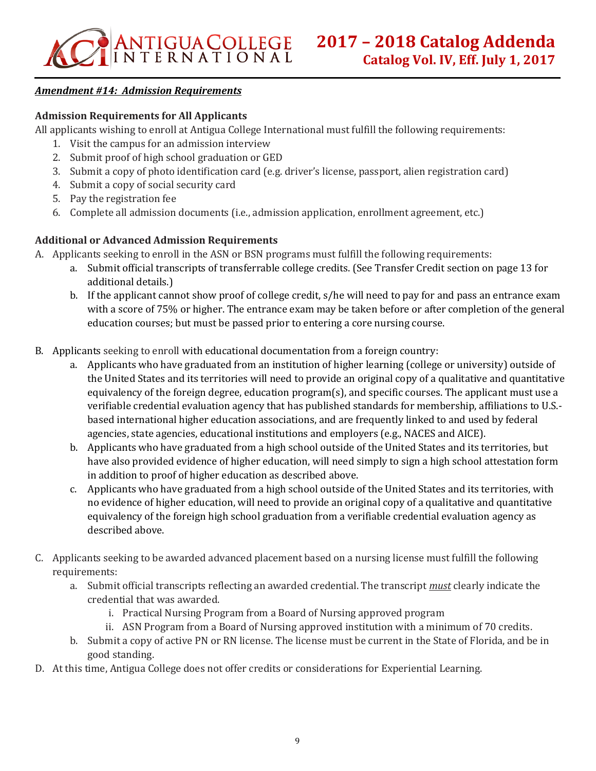# *Amendment #14: Admission Requirements*

# **Admission Requirements for All Applicants**

All applicants wishing to enroll at Antigua College International must fulfill the following requirements:

- 1. Visit the campus for an admission interview
- 2. Submit proof of high school graduation or GED
- 3. Submit a copy of photo identification card (e.g. driver's license, passport, alien registration card)
- 4. Submit a copy of social security card
- 5. Pay the registration fee
- 6. Complete all admission documents (i.e., admission application, enrollment agreement, etc.)

# **Additional or Advanced Admission Requirements**

- A. Applicants seeking to enroll in the ASN or BSN programs must fulfill the following requirements:
	- a. Submit official transcripts of transferrable college credits. (See Transfer Credit section on page 13 for additional details.)
	- b. If the applicant cannot show proof of college credit, s/he will need to pay for and pass an entrance exam with a score of 75% or higher. The entrance exam may be taken before or after completion of the general education courses; but must be passed prior to entering a core nursing course.
- B. Applicants seeking to enroll with educational documentation from a foreign country:
	- a. Applicants who have graduated from an institution of higher learning (college or university) outside of the United States and its territories will need to provide an original copy of a qualitative and quantitative equivalency of the foreign degree, education program(s), and specific courses. The applicant must use a verifiable credential evaluation agency that has published standards for membership, affiliations to U.S. based international higher education associations, and are frequently linked to and used by federal agencies, state agencies, educational institutions and employers (e.g., NACES and AICE).
	- b. Applicants who have graduated from a high school outside of the United States and its territories, but have also provided evidence of higher education, will need simply to sign a high school attestation form in addition to proof of higher education as described above.
	- c. Applicants who have graduated from a high school outside of the United States and its territories, with no evidence of higher education, will need to provide an original copy of a qualitative and quantitative equivalency of the foreign high school graduation from a verifiable credential evaluation agency as described above.
- C. Applicants seeking to be awarded advanced placement based on a nursing license must fulfill the following requirements:
	- a. Submit official transcripts reflecting an awarded credential. The transcript *must* clearly indicate the credential that was awarded.
		- i. Practical Nursing Program from a Board of Nursing approved program
		- ii. ASN Program from a Board of Nursing approved institution with a minimum of 70 credits.
	- b. Submit a copy of active PN or RN license. The license must be current in the State of Florida, and be in good standing.
- D. At this time, Antigua College does not offer credits or considerations for Experiential Learning.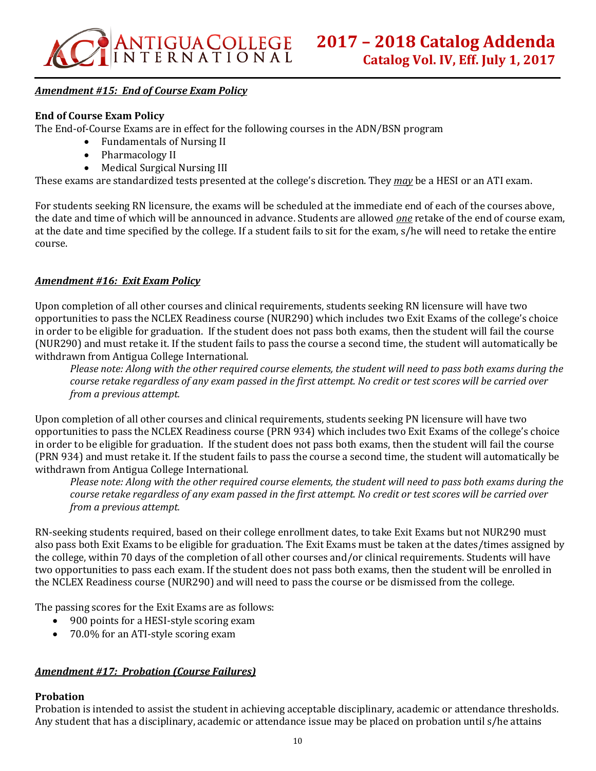

# *Amendment #15: End of Course Exam Policy*

#### **End of Course Exam Policy**

The End-of-Course Exams are in effect for the following courses in the ADN/BSN program

- Fundamentals of Nursing II
- Pharmacology II
- Medical Surgical Nursing III

These exams are standardized tests presented at the college's discretion. They *may* be a HESI or an ATI exam.

For students seeking RN licensure, the exams will be scheduled at the immediate end of each of the courses above, the date and time of which will be announced in advance. Students are allowed *one* retake of the end of course exam, at the date and time specified by the college. If a student fails to sit for the exam, s/he will need to retake the entire course.

#### *Amendment #16: Exit Exam Policy*

Upon completion of all other courses and clinical requirements, students seeking RN licensure will have two opportunities to pass the NCLEX Readiness course (NUR290) which includes two Exit Exams of the college's choice in order to be eligible for graduation. If the student does not pass both exams, then the student will fail the course (NUR290) and must retake it. If the student fails to pass the course a second time, the student will automatically be withdrawn from Antigua College International.

*Please note: Along with the other required course elements, the student will need to pass both exams during the course retake regardless of any exam passed in the first attempt. No credit or test scores will be carried over from a previous attempt.*

Upon completion of all other courses and clinical requirements, students seeking PN licensure will have two opportunities to pass the NCLEX Readiness course (PRN 934) which includes two Exit Exams of the college's choice in order to be eligible for graduation. If the student does not pass both exams, then the student will fail the course (PRN 934) and must retake it. If the student fails to pass the course a second time, the student will automatically be withdrawn from Antigua College International.

*Please note: Along with the other required course elements, the student will need to pass both exams during the course retake regardless of any exam passed in the first attempt. No credit or test scores will be carried over from a previous attempt.*

RN-seeking students required, based on their college enrollment dates, to take Exit Exams but not NUR290 must also pass both Exit Exams to be eligible for graduation. The Exit Exams must be taken at the dates/times assigned by the college, within 70 days of the completion of all other courses and/or clinical requirements. Students will have two opportunities to pass each exam. If the student does not pass both exams, then the student will be enrolled in the NCLEX Readiness course (NUR290) and will need to pass the course or be dismissed from the college.

The passing scores for the Exit Exams are as follows:

- 900 points for a HESI-style scoring exam
- 70.0% for an ATI-style scoring exam

#### *Amendment #17: Probation (Course Failures)*

#### **Probation**

Probation is intended to assist the student in achieving acceptable disciplinary, academic or attendance thresholds. Any student that has a disciplinary, academic or attendance issue may be placed on probation until s/he attains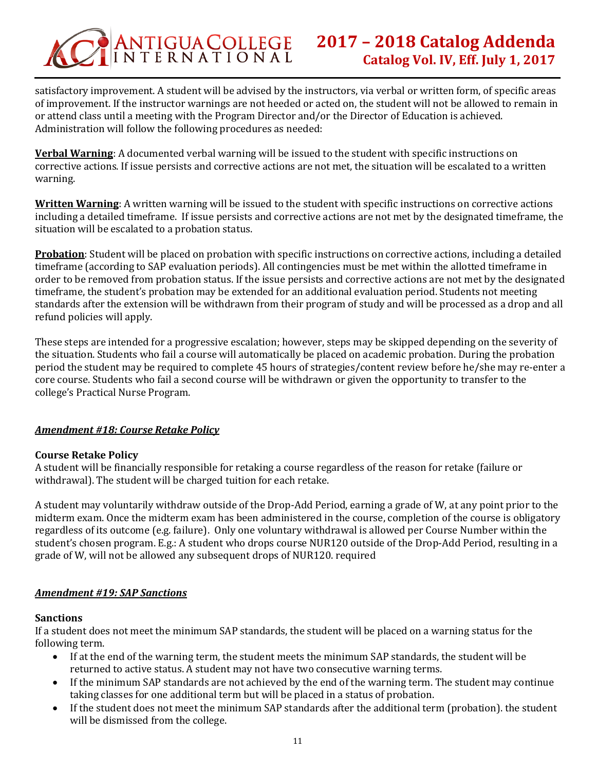

satisfactory improvement. A student will be advised by the instructors, via verbal or written form, of specific areas of improvement. If the instructor warnings are not heeded or acted on, the student will not be allowed to remain in or attend class until a meeting with the Program Director and/or the Director of Education is achieved. Administration will follow the following procedures as needed:

**Verbal Warning**: A documented verbal warning will be issued to the student with specific instructions on corrective actions. If issue persists and corrective actions are not met, the situation will be escalated to a written warning.

**Written Warning**: A written warning will be issued to the student with specific instructions on corrective actions including a detailed timeframe. If issue persists and corrective actions are not met by the designated timeframe, the situation will be escalated to a probation status.

**Probation**: Student will be placed on probation with specific instructions on corrective actions, including a detailed timeframe (according to SAP evaluation periods). All contingencies must be met within the allotted timeframe in order to be removed from probation status. If the issue persists and corrective actions are not met by the designated timeframe, the student's probation may be extended for an additional evaluation period. Students not meeting standards after the extension will be withdrawn from their program of study and will be processed as a drop and all refund policies will apply.

These steps are intended for a progressive escalation; however, steps may be skipped depending on the severity of the situation. Students who fail a course will automatically be placed on academic probation. During the probation period the student may be required to complete 45 hours of strategies/content review before he/she may re-enter a core course. Students who fail a second course will be withdrawn or given the opportunity to transfer to the college's Practical Nurse Program.

# *Amendment #18: Course Retake Policy*

# **Course Retake Policy**

A student will be financially responsible for retaking a course regardless of the reason for retake (failure or withdrawal). The student will be charged tuition for each retake.

A student may voluntarily withdraw outside of the Drop-Add Period, earning a grade of W, at any point prior to the midterm exam. Once the midterm exam has been administered in the course, completion of the course is obligatory regardless of its outcome (e.g. failure). Only one voluntary withdrawal is allowed per Course Number within the student's chosen program. E.g.: A student who drops course NUR120 outside of the Drop-Add Period, resulting in a grade of W, will not be allowed any subsequent drops of NUR120. required

#### *Amendment #19: SAP Sanctions*

#### **Sanctions**

If a student does not meet the minimum SAP standards, the student will be placed on a warning status for the following term.

- If at the end of the warning term, the student meets the minimum SAP standards, the student will be returned to active status. A student may not have two consecutive warning terms.
- If the minimum SAP standards are not achieved by the end of the warning term. The student may continue taking classes for one additional term but will be placed in a status of probation.
- If the student does not meet the minimum SAP standards after the additional term (probation). the student will be dismissed from the college.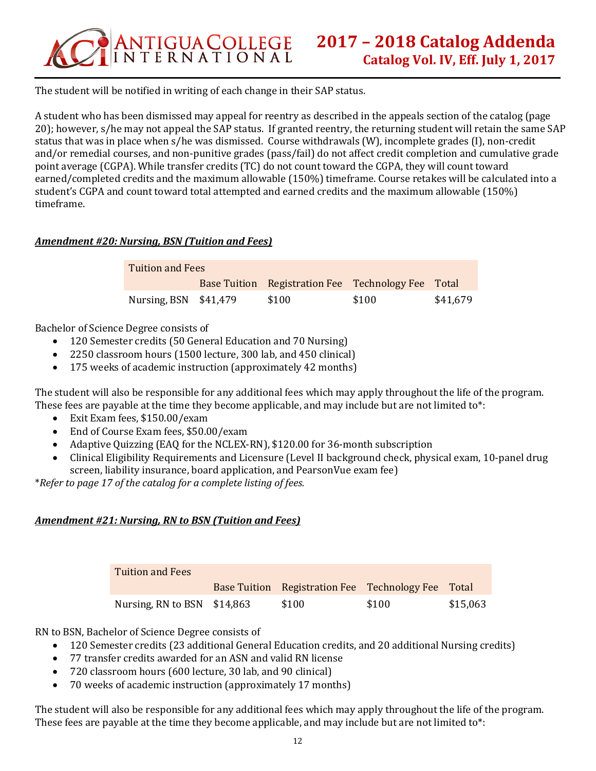

The student will be notified in writing of each change in their SAP status.

A student who has been dismissed may appeal for reentry as described in the appeals section of the catalog (page 20); however, s/he may not appeal the SAP status. If granted reentry, the returning student will retain the same SAP status that was in place when s/he was dismissed. Course withdrawals (W), incomplete grades (I), non-credit and/or remedial courses, and non-punitive grades (pass/fail) do not affect credit completion and cumulative grade point average (CGPA). While transfer credits (TC) do not count toward the CGPA, they will count toward earned/completed credits and the maximum allowable (150%) timeframe. Course retakes will be calculated into a student's CGPA and count toward total attempted and earned credits and the maximum allowable (150%) timeframe.

# *Amendment #20: Nursing, BSN (Tuition and Fees)*

| <b>Tuition and Fees</b> |  |                                                    |       |          |  |
|-------------------------|--|----------------------------------------------------|-------|----------|--|
|                         |  | Base Tuition Registration Fee Technology Fee Total |       |          |  |
| Nursing, BSN $$41,479$  |  | \$100                                              | \$100 | \$41,679 |  |

Bachelor of Science Degree consists of

- 120 Semester credits (50 General Education and 70 Nursing)
- 2250 classroom hours (1500 lecture, 300 lab, and 450 clinical)
- 175 weeks of academic instruction (approximately 42 months)

The student will also be responsible for any additional fees which may apply throughout the life of the program. These fees are payable at the time they become applicable, and may include but are not limited to\*:

- Exit Exam fees, \$150.00/exam
- End of Course Exam fees, \$50.00/exam
- Adaptive Quizzing (EAQ for the NCLEX-RN), \$120.00 for 36-month subscription
- Clinical Eligibility Requirements and Licensure (Level II background check, physical exam, 10-panel drug screen, liability insurance, board application, and PearsonVue exam fee)

\**Refer to page 17 of the catalog for a complete listing of fees.*

# *Amendment #21: Nursing, RN to BSN (Tuition and Fees)*

| Tuition and Fees             |                                                    |       |          |
|------------------------------|----------------------------------------------------|-------|----------|
|                              | Base Tuition Registration Fee Technology Fee Total |       |          |
| Nursing, RN to BSN $$14,863$ | \$100                                              | \$100 | \$15,063 |

RN to BSN, Bachelor of Science Degree consists of

- 120 Semester credits (23 additional General Education credits, and 20 additional Nursing credits)
- 77 transfer credits awarded for an ASN and valid RN license
- 720 classroom hours (600 lecture, 30 lab, and 90 clinical)
- 70 weeks of academic instruction (approximately 17 months)

The student will also be responsible for any additional fees which may apply throughout the life of the program. These fees are payable at the time they become applicable, and may include but are not limited to\*: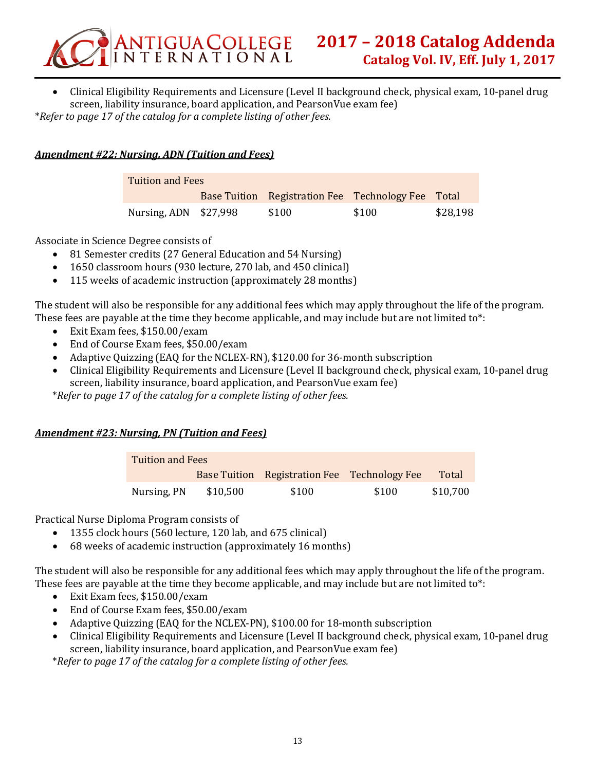

• Clinical Eligibility Requirements and Licensure (Level II background check, physical exam, 10-panel drug screen, liability insurance, board application, and PearsonVue exam fee) \**Refer to page 17 of the catalog for a complete listing of other fees.*

# *Amendment #22: Nursing, ADN (Tuition and Fees)*

| <b>Tuition and Fees</b> |  |                                                    |       |          |  |
|-------------------------|--|----------------------------------------------------|-------|----------|--|
|                         |  | Base Tuition Registration Fee Technology Fee Total |       |          |  |
| Nursing, $ADN$ \$27,998 |  | \$100                                              | \$100 | \$28,198 |  |

Associate in Science Degree consists of

- 81 Semester credits (27 General Education and 54 Nursing)
- 1650 classroom hours (930 lecture, 270 lab, and 450 clinical)
- 115 weeks of academic instruction (approximately 28 months)

The student will also be responsible for any additional fees which may apply throughout the life of the program. These fees are payable at the time they become applicable, and may include but are not limited to\*:

- Exit Exam fees, \$150.00/exam
- End of Course Exam fees, \$50.00/exam
- Adaptive Quizzing (EAQ for the NCLEX-RN), \$120.00 for 36-month subscription
- Clinical Eligibility Requirements and Licensure (Level II background check, physical exam, 10-panel drug screen, liability insurance, board application, and PearsonVue exam fee)

\**Refer to page 17 of the catalog for a complete listing of other fees.*

# *Amendment #23: Nursing, PN (Tuition and Fees)*

| Tuition and Fees |          |                                              |       |          |  |
|------------------|----------|----------------------------------------------|-------|----------|--|
|                  |          | Base Tuition Registration Fee Technology Fee |       | Total    |  |
| Nursing, PN      | \$10,500 | \$100                                        | \$100 | \$10,700 |  |

Practical Nurse Diploma Program consists of

- 1355 clock hours (560 lecture, 120 lab, and 675 clinical)
- 68 weeks of academic instruction (approximately 16 months)

The student will also be responsible for any additional fees which may apply throughout the life of the program. These fees are payable at the time they become applicable, and may include but are not limited to\*:

- Exit Exam fees, \$150.00/exam
- End of Course Exam fees, \$50.00/exam
- Adaptive Quizzing (EAQ for the NCLEX-PN), \$100.00 for 18-month subscription
- Clinical Eligibility Requirements and Licensure (Level II background check, physical exam, 10-panel drug screen, liability insurance, board application, and PearsonVue exam fee)

\**Refer to page 17 of the catalog for a complete listing of other fees.*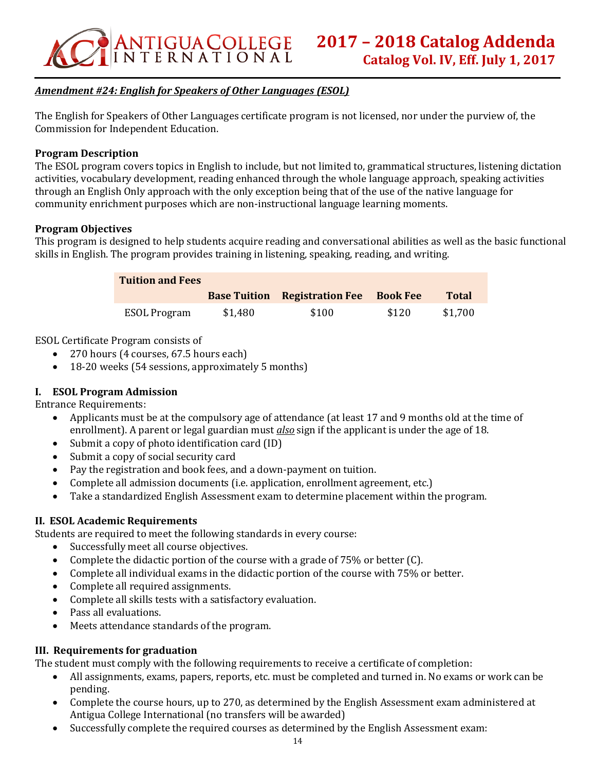

# *Amendment #24: English for Speakers of Other Languages (ESOL)*

The English for Speakers of Other Languages certificate program is not licensed, nor under the purview of, the Commission for Independent Education.

#### **Program Description**

The ESOL program covers topics in English to include, but not limited to, grammatical structures, listening dictation activities, vocabulary development, reading enhanced through the whole language approach, speaking activities through an English Only approach with the only exception being that of the use of the native language for community enrichment purposes which are non-instructional language learning moments.

#### **Program Objectives**

This program is designed to help students acquire reading and conversational abilities as well as the basic functional skills in English. The program provides training in listening, speaking, reading, and writing.

| <b>Tuition and Fees</b> |         |                                               |       |              |
|-------------------------|---------|-----------------------------------------------|-------|--------------|
|                         |         | <b>Base Tuition Registration Fee Book Fee</b> |       | <b>Total</b> |
| ESOL Program            | \$1,480 | \$100                                         | \$120 | \$1,700      |

ESOL Certificate Program consists of

- 270 hours (4 courses, 67.5 hours each)
- 18-20 weeks (54 sessions, approximately 5 months)

# **I. ESOL Program Admission**

Entrance Requirements:

- Applicants must be at the compulsory age of attendance (at least 17 and 9 months old at the time of enrollment). A parent or legal guardian must *also* sign if the applicant is under the age of 18.
- Submit a copy of photo identification card (ID)
- Submit a copy of social security card
- Pay the registration and book fees, and a down-payment on tuition.
- Complete all admission documents (i.e. application, enrollment agreement, etc.)
- Take a standardized English Assessment exam to determine placement within the program.

# **II. ESOL Academic Requirements**

Students are required to meet the following standards in every course:

- Successfully meet all course objectives.
- Complete the didactic portion of the course with a grade of  $75\%$  or better (C).
- Complete all individual exams in the didactic portion of the course with 75% or better.
- Complete all required assignments.
- Complete all skills tests with a satisfactory evaluation.
- Pass all evaluations.
- Meets attendance standards of the program.

# **III. Requirements for graduation**

The student must comply with the following requirements to receive a certificate of completion:

- All assignments, exams, papers, reports, etc. must be completed and turned in. No exams or work can be pending.
- Complete the course hours, up to 270, as determined by the English Assessment exam administered at Antigua College International (no transfers will be awarded)
- Successfully complete the required courses as determined by the English Assessment exam: